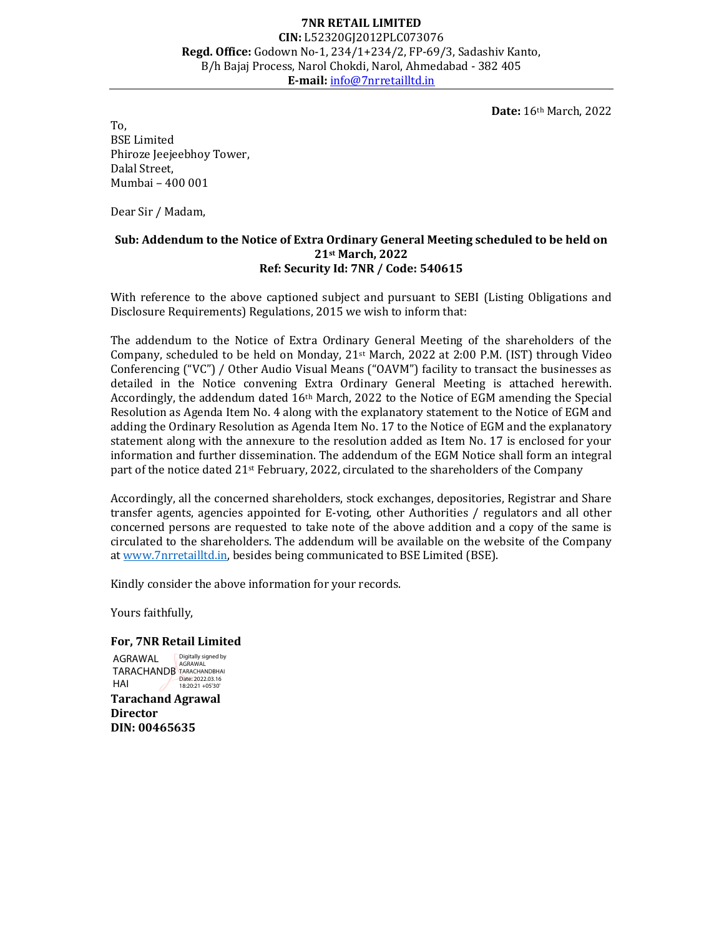## 7NR RETAIL LIMITED CIN: L52320GJ2012PLC073076 Regd. Office: Godown No-1, 234/1+234/2, FP-69/3, Sadashiv Kanto, B/h Bajaj Process, Narol Chokdi, Narol, Ahmedabad - 382 405 E-mail: info@7nrretailltd.in

Date: 16th March, 2022

To, BSE Limited Phiroze Jeejeebhoy Tower, Dalal Street, Mumbai – 400 001

Dear Sir / Madam,

### Sub: Addendum to the Notice of Extra Ordinary General Meeting scheduled to be held on 21st March, 2022 Ref: Security Id: 7NR / Code: 540615

With reference to the above captioned subject and pursuant to SEBI (Listing Obligations and Disclosure Requirements) Regulations, 2015 we wish to inform that:

The addendum to the Notice of Extra Ordinary General Meeting of the shareholders of the Company, scheduled to be held on Monday,  $21^{st}$  March, 2022 at 2:00 P.M. (IST) through Video Conferencing ("VC") / Other Audio Visual Means ("OAVM") facility to transact the businesses as detailed in the Notice convening Extra Ordinary General Meeting is attached herewith. Accordingly, the addendum dated 16th March, 2022 to the Notice of EGM amending the Special Resolution as Agenda Item No. 4 along with the explanatory statement to the Notice of EGM and adding the Ordinary Resolution as Agenda Item No. 17 to the Notice of EGM and the explanatory statement along with the annexure to the resolution added as Item No. 17 is enclosed for your information and further dissemination. The addendum of the EGM Notice shall form an integral part of the notice dated 21<sup>st</sup> February, 2022, circulated to the shareholders of the Company

Accordingly, all the concerned shareholders, stock exchanges, depositories, Registrar and Share transfer agents, agencies appointed for E-voting, other Authorities / regulators and all other concerned persons are requested to take note of the above addition and a copy of the same is circulated to the shareholders. The addendum will be available on the website of the Company at www.7nrretailltd.in, besides being communicated to BSE Limited (BSE).

Kindly consider the above information for your records.

Yours faithfully,

#### For, 7NR Retail Limited

TARACHANDB TARACHANDBHAI Tarachand Agrawal **Director** DIN: 00465635 AGRAWAL HAI Digitally signed by<br>AGRAWAI Date: 2022.03.16 18:20:21 +05'30'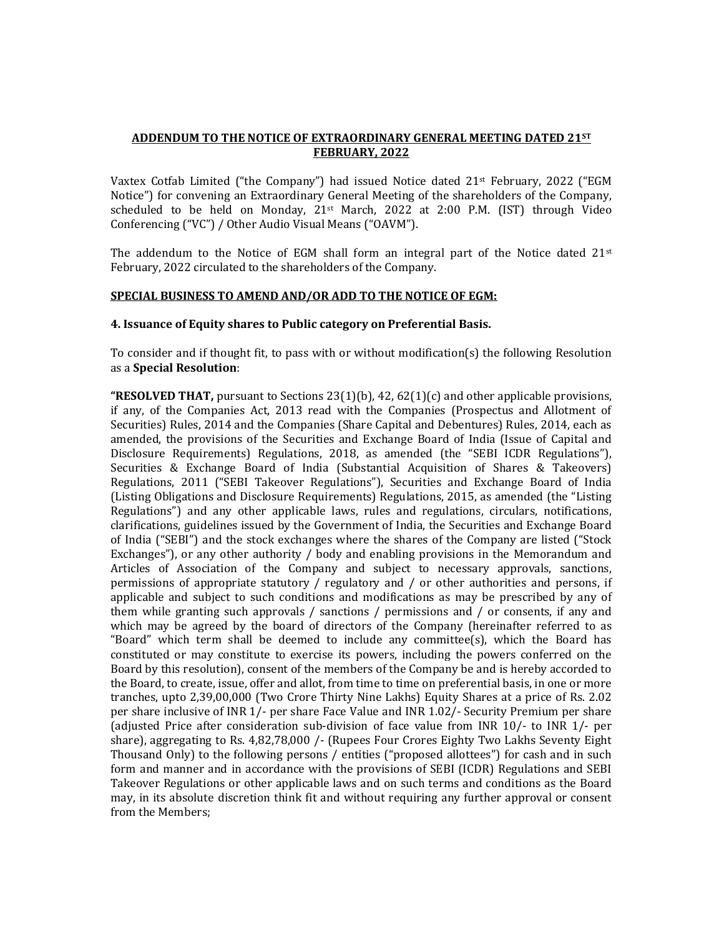### ADDENDUM TO THE NOTICE OF EXTRAORDINARY GENERAL MEETING DATED 21ST FEBRUARY, 2022

Vaxtex Cotfab Limited ("the Company") had issued Notice dated  $21<sup>st</sup>$  February, 2022 ("EGM Notice") for convening an Extraordinary General Meeting of the shareholders of the Company, scheduled to be held on Monday, 21st March, 2022 at 2:00 P.M. (IST) through Video Conferencing ("VC") / Other Audio Visual Means ("OAVM").

The addendum to the Notice of EGM shall form an integral part of the Notice dated  $21^{st}$ February, 2022 circulated to the shareholders of the Company.

#### SPECIAL BUSINESS TO AMEND AND/OR ADD TO THE NOTICE OF EGM:

#### 4. Issuance of Equity shares to Public category on Preferential Basis.

To consider and if thought fit, to pass with or without modification(s) the following Resolution as a Special Resolution:

**"RESOLVED THAT,** pursuant to Sections 23(1)(b), 42, 62(1)(c) and other applicable provisions, if any, of the Companies Act, 2013 read with the Companies (Prospectus and Allotment of Securities) Rules, 2014 and the Companies (Share Capital and Debentures) Rules, 2014, each as amended, the provisions of the Securities and Exchange Board of India (Issue of Capital and Disclosure Requirements) Regulations, 2018, as amended (the "SEBI ICDR Regulations"), Securities & Exchange Board of India (Substantial Acquisition of Shares & Takeovers) Regulations, 2011 ("SEBI Takeover Regulations"), Securities and Exchange Board of India (Listing Obligations and Disclosure Requirements) Regulations, 2015, as amended (the "Listing Regulations") and any other applicable laws, rules and regulations, circulars, notifications, clarifications, guidelines issued by the Government of India, the Securities and Exchange Board of India ("SEBI") and the stock exchanges where the shares of the Company are listed ("Stock Exchanges"), or any other authority / body and enabling provisions in the Memorandum and Articles of Association of the Company and subject to necessary approvals, sanctions, permissions of appropriate statutory / regulatory and / or other authorities and persons, if applicable and subject to such conditions and modifications as may be prescribed by any of them while granting such approvals / sanctions / permissions and / or consents, if any and which may be agreed by the board of directors of the Company (hereinafter referred to as "Board" which term shall be deemed to include any committee(s), which the Board has constituted or may constitute to exercise its powers, including the powers conferred on the Board by this resolution), consent of the members of the Company be and is hereby accorded to the Board, to create, issue, offer and allot, from time to time on preferential basis, in one or more tranches, upto 2,39,00,000 (Two Crore Thirty Nine Lakhs) Equity Shares at a price of Rs. 2.02 per share inclusive of INR 1/- per share Face Value and INR 1.02/- Security Premium per share (adjusted Price after consideration sub-division of face value from INR 10/- to INR 1/- per share), aggregating to Rs. 4,82,78,000 /- (Rupees Four Crores Eighty Two Lakhs Seventy Eight Thousand Only) to the following persons / entities ("proposed allottees") for cash and in such form and manner and in accordance with the provisions of SEBI (ICDR) Regulations and SEBI Takeover Regulations or other applicable laws and on such terms and conditions as the Board may, in its absolute discretion think fit and without requiring any further approval or consent from the Members;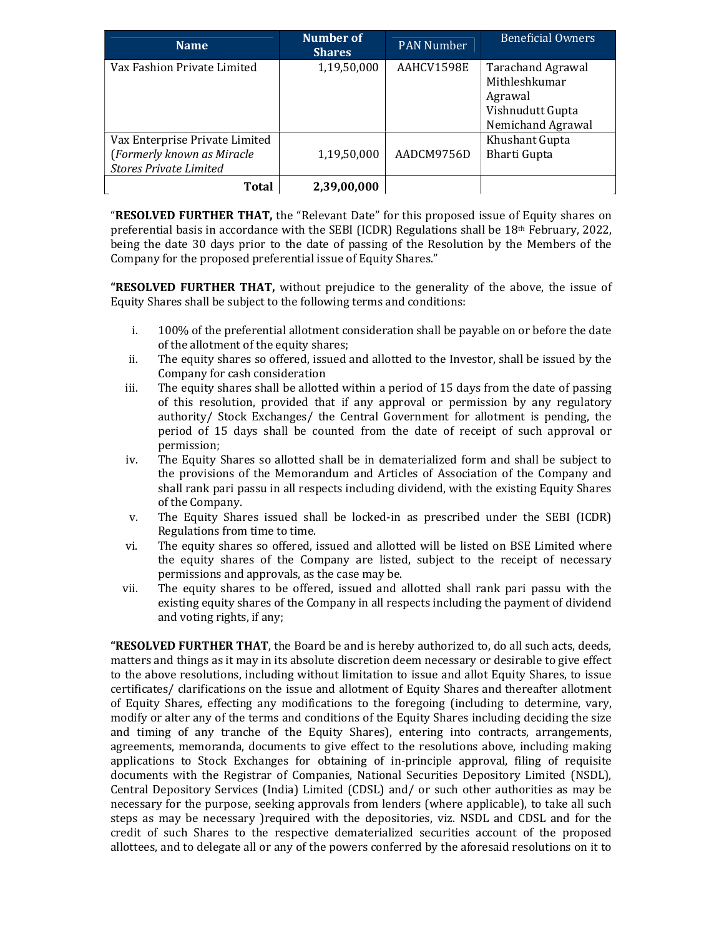| <b>Name</b>                    | Number of<br><b>Shares</b> | <b>PAN Number</b> | <b>Beneficial Owners</b> |
|--------------------------------|----------------------------|-------------------|--------------------------|
| Vax Fashion Private Limited    | 1,19,50,000                | AAHCV1598E        | <b>Tarachand Agrawal</b> |
|                                |                            |                   | Mithleshkumar            |
|                                |                            |                   | Agrawal                  |
|                                |                            |                   | Vishnudutt Gupta         |
|                                |                            |                   | Nemichand Agrawal        |
| Vax Enterprise Private Limited |                            |                   | Khushant Gupta           |
| (Formerly known as Miracle     | 1,19,50,000                | AADCM9756D        | <b>Bharti Gupta</b>      |
| <b>Stores Private Limited</b>  |                            |                   |                          |
| <b>Total</b>                   | 2,39,00,000                |                   |                          |

**"RESOLVED FURTHER THAT, the "Relevant Date" for this proposed issue of Equity shares on** preferential basis in accordance with the SEBI (ICDR) Regulations shall be 18th February, 2022, being the date 30 days prior to the date of passing of the Resolution by the Members of the Company for the proposed preferential issue of Equity Shares."

**"RESOLVED FURTHER THAT,** without prejudice to the generality of the above, the issue of Equity Shares shall be subject to the following terms and conditions:

- i. 100% of the preferential allotment consideration shall be payable on or before the date of the allotment of the equity shares;
- ii. The equity shares so offered, issued and allotted to the Investor, shall be issued by the Company for cash consideration
- iii. The equity shares shall be allotted within a period of 15 days from the date of passing of this resolution, provided that if any approval or permission by any regulatory authority/ Stock Exchanges/ the Central Government for allotment is pending, the period of 15 days shall be counted from the date of receipt of such approval or permission;
- iv. The Equity Shares so allotted shall be in dematerialized form and shall be subject to the provisions of the Memorandum and Articles of Association of the Company and shall rank pari passu in all respects including dividend, with the existing Equity Shares of the Company.
- v. The Equity Shares issued shall be locked-in as prescribed under the SEBI (ICDR) Regulations from time to time.
- vi. The equity shares so offered, issued and allotted will be listed on BSE Limited where the equity shares of the Company are listed, subject to the receipt of necessary permissions and approvals, as the case may be.
- vii. The equity shares to be offered, issued and allotted shall rank pari passu with the existing equity shares of the Company in all respects including the payment of dividend and voting rights, if any;

**"RESOLVED FURTHER THAT**, the Board be and is hereby authorized to, do all such acts, deeds, matters and things as it may in its absolute discretion deem necessary or desirable to give effect to the above resolutions, including without limitation to issue and allot Equity Shares, to issue certificates/ clarifications on the issue and allotment of Equity Shares and thereafter allotment of Equity Shares, effecting any modifications to the foregoing (including to determine, vary, modify or alter any of the terms and conditions of the Equity Shares including deciding the size and timing of any tranche of the Equity Shares), entering into contracts, arrangements, agreements, memoranda, documents to give effect to the resolutions above, including making applications to Stock Exchanges for obtaining of in-principle approval, filing of requisite documents with the Registrar of Companies, National Securities Depository Limited (NSDL), Central Depository Services (India) Limited (CDSL) and/ or such other authorities as may be necessary for the purpose, seeking approvals from lenders (where applicable), to take all such steps as may be necessary )required with the depositories, viz. NSDL and CDSL and for the credit of such Shares to the respective dematerialized securities account of the proposed allottees, and to delegate all or any of the powers conferred by the aforesaid resolutions on it to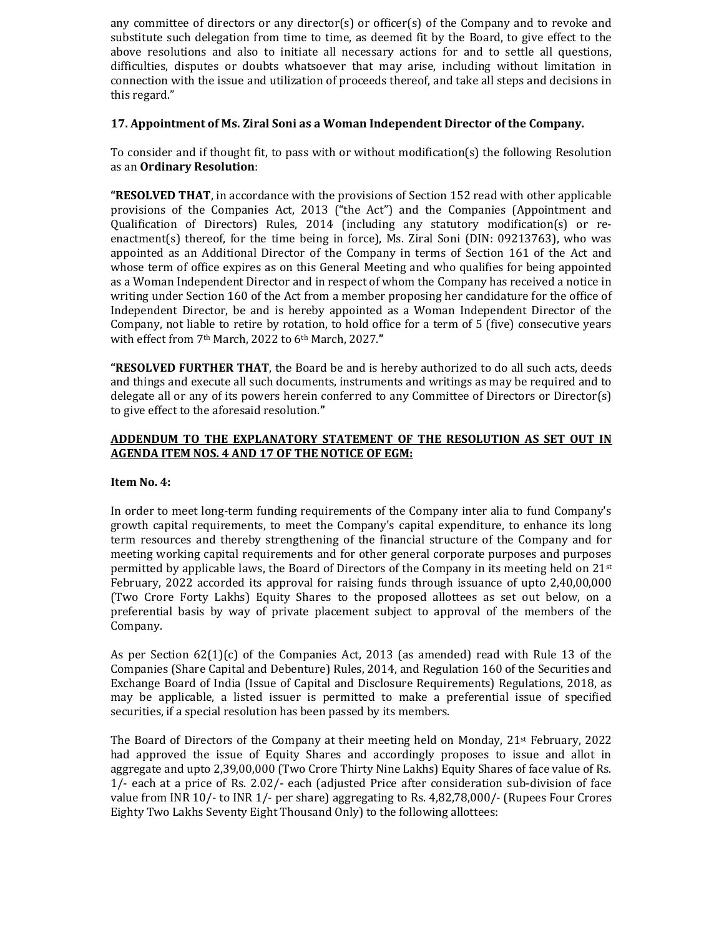any committee of directors or any director(s) or officer(s) of the Company and to revoke and substitute such delegation from time to time, as deemed fit by the Board, to give effect to the above resolutions and also to initiate all necessary actions for and to settle all questions, difficulties, disputes or doubts whatsoever that may arise, including without limitation in connection with the issue and utilization of proceeds thereof, and take all steps and decisions in this regard."

### 17. Appointment of Ms. Ziral Soni as a Woman Independent Director of the Company.

To consider and if thought fit, to pass with or without modification(s) the following Resolution as an Ordinary Resolution:

**"RESOLVED THAT**, in accordance with the provisions of Section 152 read with other applicable provisions of the Companies Act, 2013 ("the Act") and the Companies (Appointment and Qualification of Directors) Rules, 2014 (including any statutory modification(s) or reenactment(s) thereof, for the time being in force), Ms. Ziral Soni (DIN: 09213763), who was appointed as an Additional Director of the Company in terms of Section 161 of the Act and whose term of office expires as on this General Meeting and who qualifies for being appointed as a Woman Independent Director and in respect of whom the Company has received a notice in writing under Section 160 of the Act from a member proposing her candidature for the office of Independent Director, be and is hereby appointed as a Woman Independent Director of the Company, not liable to retire by rotation, to hold office for a term of 5 (five) consecutive years with effect from 7th March, 2022 to 6th March, 2027."

**"RESOLVED FURTHER THAT**, the Board be and is hereby authorized to do all such acts, deeds and things and execute all such documents, instruments and writings as may be required and to delegate all or any of its powers herein conferred to any Committee of Directors or Director(s) to give effect to the aforesaid resolution."

## ADDENDUM TO THE EXPLANATORY STATEMENT OF THE RESOLUTION AS SET OUT IN AGENDA ITEM NOS. 4 AND 17 OF THE NOTICE OF EGM:

#### Item No. 4:

In order to meet long-term funding requirements of the Company inter alia to fund Company's growth capital requirements, to meet the Company's capital expenditure, to enhance its long term resources and thereby strengthening of the financial structure of the Company and for meeting working capital requirements and for other general corporate purposes and purposes permitted by applicable laws, the Board of Directors of the Company in its meeting held on  $21^{st}$ February, 2022 accorded its approval for raising funds through issuance of upto 2,40,00,000 (Two Crore Forty Lakhs) Equity Shares to the proposed allottees as set out below, on a preferential basis by way of private placement subject to approval of the members of the Company.

As per Section 62(1)(c) of the Companies Act, 2013 (as amended) read with Rule 13 of the Companies (Share Capital and Debenture) Rules, 2014, and Regulation 160 of the Securities and Exchange Board of India (Issue of Capital and Disclosure Requirements) Regulations, 2018, as may be applicable, a listed issuer is permitted to make a preferential issue of specified securities, if a special resolution has been passed by its members.

The Board of Directors of the Company at their meeting held on Monday,  $21$ <sup>st</sup> February, 2022 had approved the issue of Equity Shares and accordingly proposes to issue and allot in aggregate and upto 2,39,00,000 (Two Crore Thirty Nine Lakhs) Equity Shares of face value of Rs. 1/- each at a price of Rs. 2.02/- each (adjusted Price after consideration sub-division of face value from INR 10/- to INR 1/- per share) aggregating to Rs. 4,82,78,000/- (Rupees Four Crores Eighty Two Lakhs Seventy Eight Thousand Only) to the following allottees: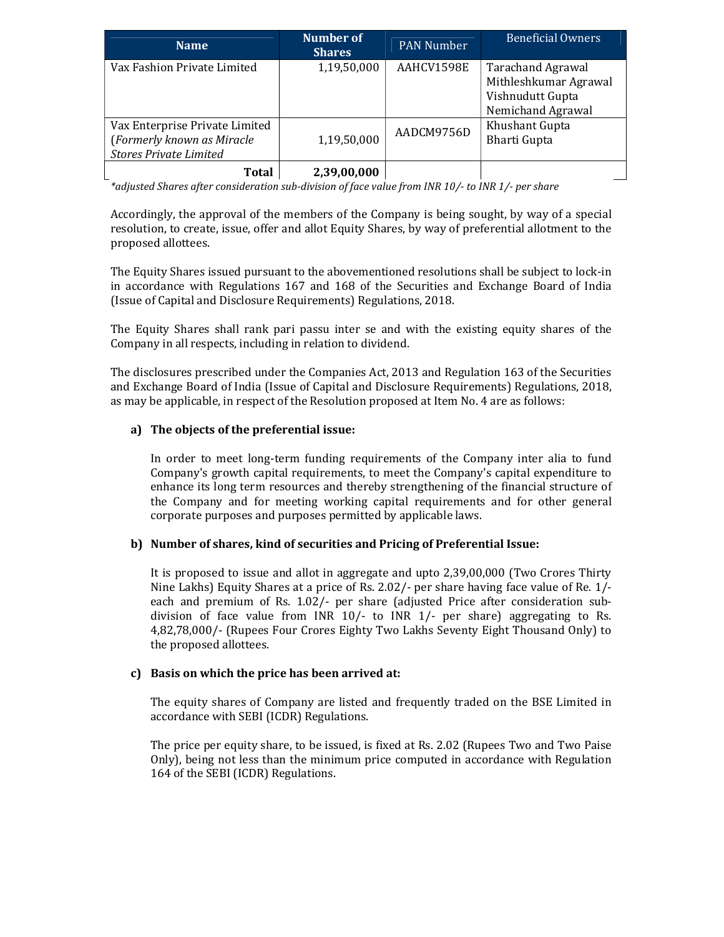| <b>Name</b>                                                                                   | <b>Number of</b><br><b>Shares</b> | <b>PAN Number</b> | Beneficial Owners                                 |
|-----------------------------------------------------------------------------------------------|-----------------------------------|-------------------|---------------------------------------------------|
| Vax Fashion Private Limited                                                                   | 1,19,50,000                       | AAHCV1598E        | <b>Tarachand Agrawal</b><br>Mithleshkumar Agrawal |
|                                                                                               |                                   |                   | Vishnudutt Gupta<br>Nemichand Agrawal             |
| Vax Enterprise Private Limited<br>(Formerly known as Miracle<br><b>Stores Private Limited</b> | 1,19,50,000                       | AADCM9756D        | Khushant Gupta<br><b>Bharti Gupta</b>             |
| Total                                                                                         | 2,39,00,000                       |                   |                                                   |

\*adjusted Shares after consideration sub-division of face value from INR 10/- to INR 1/- per share

Accordingly, the approval of the members of the Company is being sought, by way of a special resolution, to create, issue, offer and allot Equity Shares, by way of preferential allotment to the proposed allottees.

The Equity Shares issued pursuant to the abovementioned resolutions shall be subject to lock-in in accordance with Regulations 167 and 168 of the Securities and Exchange Board of India (Issue of Capital and Disclosure Requirements) Regulations, 2018.

The Equity Shares shall rank pari passu inter se and with the existing equity shares of the Company in all respects, including in relation to dividend.

The disclosures prescribed under the Companies Act, 2013 and Regulation 163 of the Securities and Exchange Board of India (Issue of Capital and Disclosure Requirements) Regulations, 2018, as may be applicable, in respect of the Resolution proposed at Item No. 4 are as follows:

# a) The objects of the preferential issue:

In order to meet long-term funding requirements of the Company inter alia to fund Company's growth capital requirements, to meet the Company's capital expenditure to enhance its long term resources and thereby strengthening of the financial structure of the Company and for meeting working capital requirements and for other general corporate purposes and purposes permitted by applicable laws.

#### b) Number of shares, kind of securities and Pricing of Preferential Issue:

It is proposed to issue and allot in aggregate and upto 2,39,00,000 (Two Crores Thirty Nine Lakhs) Equity Shares at a price of Rs. 2.02/- per share having face value of Re. 1/ each and premium of Rs. 1.02/- per share (adjusted Price after consideration subdivision of face value from INR 10/- to INR 1/- per share) aggregating to Rs. 4,82,78,000/- (Rupees Four Crores Eighty Two Lakhs Seventy Eight Thousand Only) to the proposed allottees.

#### c) Basis on which the price has been arrived at:

The equity shares of Company are listed and frequently traded on the BSE Limited in accordance with SEBI (ICDR) Regulations.

The price per equity share, to be issued, is fixed at Rs. 2.02 (Rupees Two and Two Paise Only), being not less than the minimum price computed in accordance with Regulation 164 of the SEBI (ICDR) Regulations.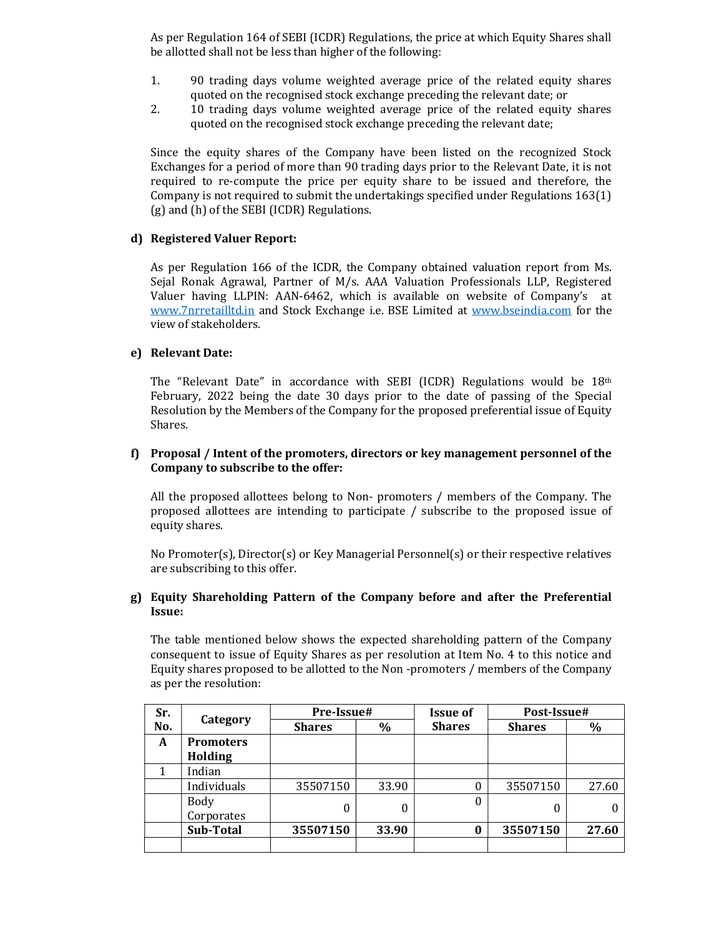As per Regulation 164 of SEBI (ICDR) Regulations, the price at which Equity Shares shall be allotted shall not be less than higher of the following:

- 1. 90 trading days volume weighted average price of the related equity shares quoted on the recognised stock exchange preceding the relevant date; or
- 2. 10 trading days volume weighted average price of the related equity shares quoted on the recognised stock exchange preceding the relevant date;

Since the equity shares of the Company have been listed on the recognized Stock Exchanges for a period of more than 90 trading days prior to the Relevant Date, it is not required to re-compute the price per equity share to be issued and therefore, the Company is not required to submit the undertakings specified under Regulations 163(1) (g) and (h) of the SEBI (ICDR) Regulations.

#### d) Registered Valuer Report:

As per Regulation 166 of the ICDR, the Company obtained valuation report from Ms. Sejal Ronak Agrawal, Partner of M/s. AAA Valuation Professionals LLP, Registered Valuer having LLPIN: AAN-6462, which is available on website of Company's at www.7nrretailltd.in and Stock Exchange i.e. BSE Limited at www.bseindia.com for the view of stakeholders.

### e) Relevant Date:

The "Relevant Date" in accordance with SEBI (ICDR) Regulations would be 18th February, 2022 being the date 30 days prior to the date of passing of the Special Resolution by the Members of the Company for the proposed preferential issue of Equity Shares.

### f) Proposal / Intent of the promoters, directors or key management personnel of the Company to subscribe to the offer:

All the proposed allottees belong to Non- promoters / members of the Company. The proposed allottees are intending to participate / subscribe to the proposed issue of equity shares.

No Promoter(s), Director(s) or Key Managerial Personnel(s) or their respective relatives are subscribing to this offer.

#### g) Equity Shareholding Pattern of the Company before and after the Preferential Issue:

The table mentioned below shows the expected shareholding pattern of the Company consequent to issue of Equity Shares as per resolution at Item No. 4 to this notice and Equity shares proposed to be allotted to the Non -promoters / members of the Company as per the resolution:

| Sr. |                                    | Pre-Issue#    |       | <b>Issue of</b> | Post-Issue#   |       |
|-----|------------------------------------|---------------|-------|-----------------|---------------|-------|
| No. | Category                           | <b>Shares</b> | $\%$  | <b>Shares</b>   | <b>Shares</b> | $\%$  |
| A   | <b>Promoters</b><br><b>Holding</b> |               |       |                 |               |       |
|     | Indian                             |               |       |                 |               |       |
|     | Individuals                        | 35507150      | 33.90 | 0               | 35507150      | 27.60 |
|     | Body<br>Corporates                 | $\Omega$      | 0     | 0               | 0             |       |
|     | Sub-Total                          | 35507150      | 33.90 | 0               | 35507150      | 27.60 |
|     |                                    |               |       |                 |               |       |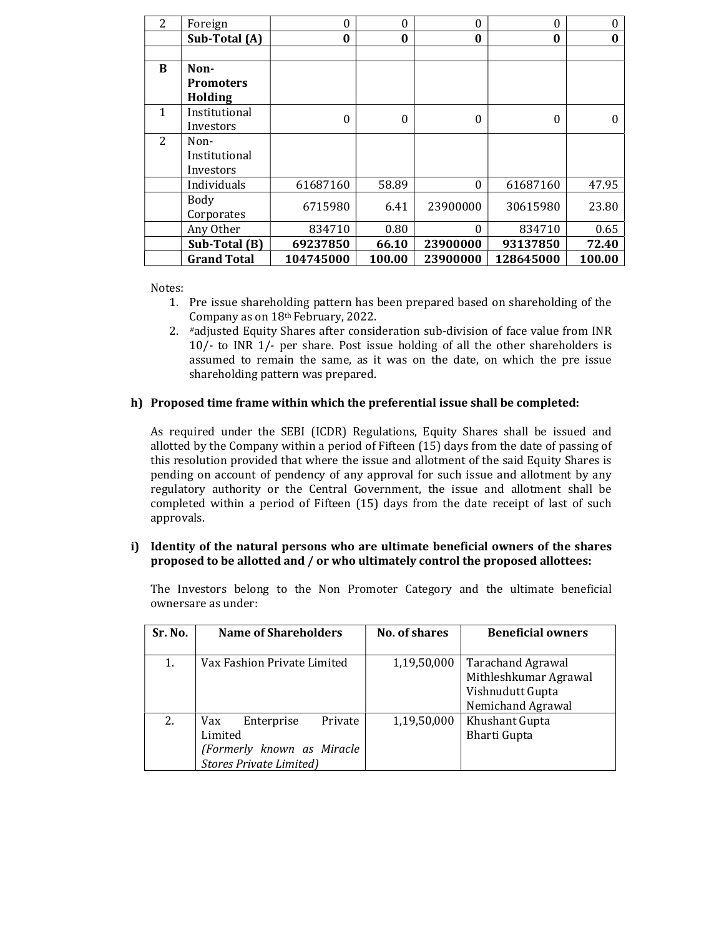| 2 | Foreign            | 0         | $\theta$ | $\theta$ | $\theta$  | $\Omega$ |
|---|--------------------|-----------|----------|----------|-----------|----------|
|   | Sub-Total (A)      | 0         | 0        | $\bf{0}$ | $\bf{0}$  | $\bf{0}$ |
|   |                    |           |          |          |           |          |
| B | Non-               |           |          |          |           |          |
|   | <b>Promoters</b>   |           |          |          |           |          |
|   | Holding            |           |          |          |           |          |
| 1 | Institutional      | $\Omega$  | $\theta$ | $\theta$ | 0         | 0        |
|   | Investors          |           |          |          |           |          |
| 2 | Non-               |           |          |          |           |          |
|   | Institutional      |           |          |          |           |          |
|   | Investors          |           |          |          |           |          |
|   | Individuals        | 61687160  | 58.89    | $\theta$ | 61687160  | 47.95    |
|   | Body               |           |          |          |           |          |
|   | Corporates         | 6715980   | 6.41     | 23900000 | 30615980  | 23.80    |
|   | Any Other          | 834710    | 0.80     | $\Omega$ | 834710    | 0.65     |
|   | Sub-Total (B)      | 69237850  | 66.10    | 23900000 | 93137850  | 72.40    |
|   | <b>Grand Total</b> | 104745000 | 100.00   | 23900000 | 128645000 | 100.00   |

Notes:

- 1. Pre issue shareholding pattern has been prepared based on shareholding of the Company as on 18th February, 2022.
- 2. #adjusted Equity Shares after consideration sub-division of face value from INR 10/- to INR 1/- per share. Post issue holding of all the other shareholders is assumed to remain the same, as it was on the date, on which the pre issue shareholding pattern was prepared.

# h) Proposed time frame within which the preferential issue shall be completed:

As required under the SEBI (ICDR) Regulations, Equity Shares shall be issued and allotted by the Company within a period of Fifteen (15) days from the date of passing of this resolution provided that where the issue and allotment of the said Equity Shares is pending on account of pendency of any approval for such issue and allotment by any regulatory authority or the Central Government, the issue and allotment shall be completed within a period of Fifteen (15) days from the date receipt of last of such approvals.

### i) Identity of the natural persons who are ultimate beneficial owners of the shares proposed to be allotted and / or who ultimately control the proposed allottees:

The Investors belong to the Non Promoter Category and the ultimate beneficial ownersare as under:

| Sr. No. | <b>Name of Shareholders</b>                                                                             | <b>No. of shares</b> | <b>Beneficial owners</b>                                                            |
|---------|---------------------------------------------------------------------------------------------------------|----------------------|-------------------------------------------------------------------------------------|
| 1.      | Vax Fashion Private Limited                                                                             | 1,19,50,000          | Tarachand Agrawal<br>Mithleshkumar Agrawal<br>Vishnudutt Gupta<br>Nemichand Agrawal |
| 2.      | Private<br>Enterprise<br>Vax<br>Limited<br>(Formerly known as Miracle<br><b>Stores Private Limited)</b> | 1,19,50,000          | Khushant Gupta<br><b>Bharti Gupta</b>                                               |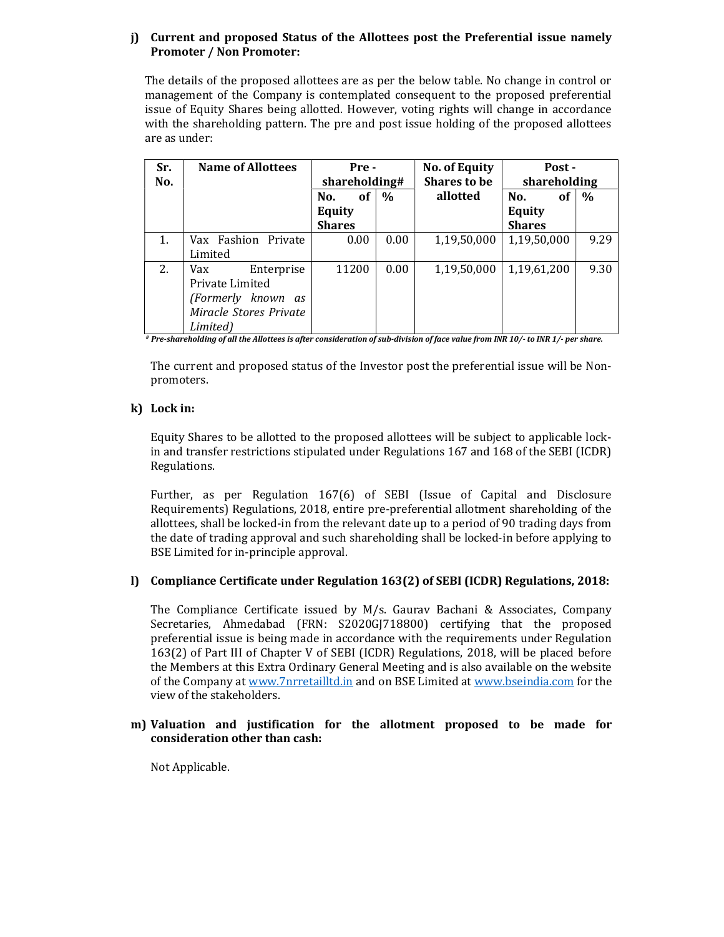## j) Current and proposed Status of the Allottees post the Preferential issue namely Promoter / Non Promoter:

The details of the proposed allottees are as per the below table. No change in control or management of the Company is contemplated consequent to the proposed preferential issue of Equity Shares being allotted. However, voting rights will change in accordance with the shareholding pattern. The pre and post issue holding of the proposed allottees are as under:

| Sr. | <b>Name of Allottees</b> | Pre -         |               | <b>No. of Equity</b> | Post -           |      |
|-----|--------------------------|---------------|---------------|----------------------|------------------|------|
| No. |                          | shareholding# |               | <b>Shares to be</b>  | shareholding     |      |
|     |                          | No.<br>of     | $\frac{0}{0}$ | allotted             | No.<br><b>of</b> | $\%$ |
|     |                          | <b>Equity</b> |               |                      | <b>Equity</b>    |      |
|     |                          | <b>Shares</b> |               |                      | <b>Shares</b>    |      |
| 1.  | Vax Fashion Private      | 0.00          | 0.00          | 1,19,50,000          | 1,19,50,000      | 9.29 |
|     | Limited                  |               |               |                      |                  |      |
| 2.  | Enterprise<br>Vax        | 11200         | 0.00          | 1,19,50,000          | 1,19,61,200      | 9.30 |
|     | Private Limited          |               |               |                      |                  |      |
|     | (Formerly known as       |               |               |                      |                  |      |
|     | Miracle Stores Private   |               |               |                      |                  |      |
|     | Limited)                 |               |               |                      |                  |      |

# Pre-shareholding of all the Allottees is after consideration of sub-division of face value from INR 10/- to INR 1/- per share.

The current and proposed status of the Investor post the preferential issue will be Nonpromoters.

# k) Lock in:

Equity Shares to be allotted to the proposed allottees will be subject to applicable lockin and transfer restrictions stipulated under Regulations 167 and 168 of the SEBI (ICDR) Regulations.

Further, as per Regulation 167(6) of SEBI (Issue of Capital and Disclosure Requirements) Regulations, 2018, entire pre-preferential allotment shareholding of the allottees, shall be locked-in from the relevant date up to a period of 90 trading days from the date of trading approval and such shareholding shall be locked-in before applying to BSE Limited for in-principle approval.

# l) Compliance Certificate under Regulation 163(2) of SEBI (ICDR) Regulations, 2018:

The Compliance Certificate issued by M/s. Gaurav Bachani & Associates, Company Secretaries, Ahmedabad (FRN: S2020GJ718800) certifying that the proposed preferential issue is being made in accordance with the requirements under Regulation 163(2) of Part III of Chapter V of SEBI (ICDR) Regulations, 2018, will be placed before the Members at this Extra Ordinary General Meeting and is also available on the website of the Company at www.7nrretailltd.in and on BSE Limited at www.bseindia.com for the view of the stakeholders.

### m) Valuation and justification for the allotment proposed to be made for consideration other than cash:

Not Applicable.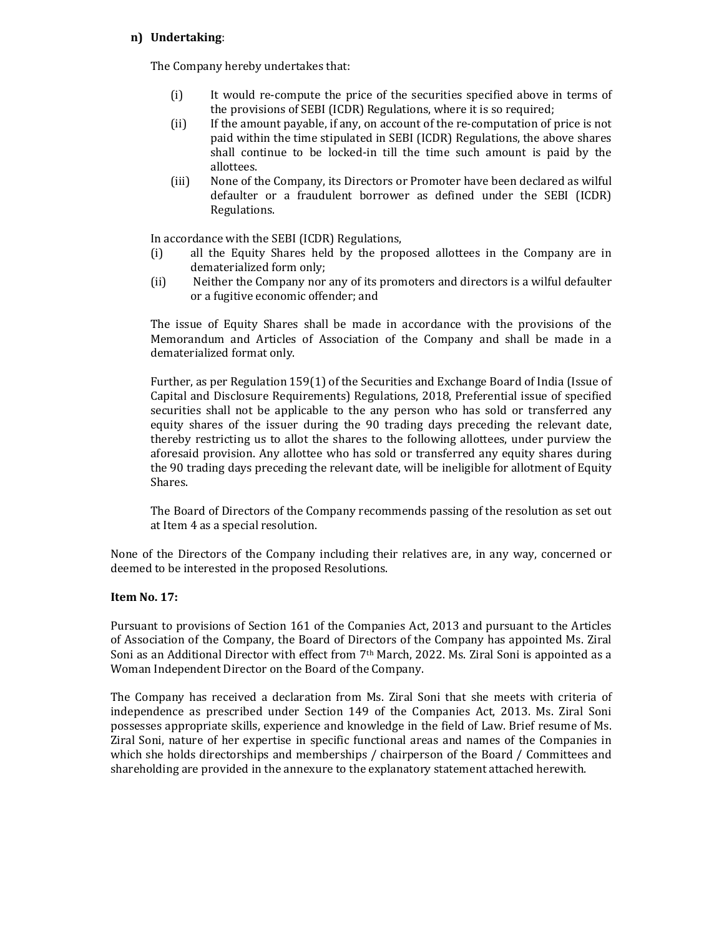### n) Undertaking:

The Company hereby undertakes that:

- (i) It would re-compute the price of the securities specified above in terms of the provisions of SEBI (ICDR) Regulations, where it is so required;
- (ii) If the amount payable, if any, on account of the re-computation of price is not paid within the time stipulated in SEBI (ICDR) Regulations, the above shares shall continue to be locked-in till the time such amount is paid by the allottees.
- (iii) None of the Company, its Directors or Promoter have been declared as wilful defaulter or a fraudulent borrower as defined under the SEBI (ICDR) Regulations.

In accordance with the SEBI (ICDR) Regulations,

- (i) all the Equity Shares held by the proposed allottees in the Company are in dematerialized form only;
- (ii) Neither the Company nor any of its promoters and directors is a wilful defaulter or a fugitive economic offender; and

The issue of Equity Shares shall be made in accordance with the provisions of the Memorandum and Articles of Association of the Company and shall be made in a dematerialized format only.

Further, as per Regulation 159(1) of the Securities and Exchange Board of India (Issue of Capital and Disclosure Requirements) Regulations, 2018, Preferential issue of specified securities shall not be applicable to the any person who has sold or transferred any equity shares of the issuer during the 90 trading days preceding the relevant date, thereby restricting us to allot the shares to the following allottees, under purview the aforesaid provision. Any allottee who has sold or transferred any equity shares during the 90 trading days preceding the relevant date, will be ineligible for allotment of Equity Shares.

The Board of Directors of the Company recommends passing of the resolution as set out at Item 4 as a special resolution.

None of the Directors of the Company including their relatives are, in any way, concerned or deemed to be interested in the proposed Resolutions.

# Item No. 17:

Pursuant to provisions of Section 161 of the Companies Act, 2013 and pursuant to the Articles of Association of the Company, the Board of Directors of the Company has appointed Ms. Ziral Soni as an Additional Director with effect from  $7<sup>th</sup>$  March, 2022. Ms. Ziral Soni is appointed as a Woman Independent Director on the Board of the Company.

The Company has received a declaration from Ms. Ziral Soni that she meets with criteria of independence as prescribed under Section 149 of the Companies Act, 2013. Ms. Ziral Soni possesses appropriate skills, experience and knowledge in the field of Law. Brief resume of Ms. Ziral Soni, nature of her expertise in specific functional areas and names of the Companies in which she holds directorships and memberships / chairperson of the Board / Committees and shareholding are provided in the annexure to the explanatory statement attached herewith.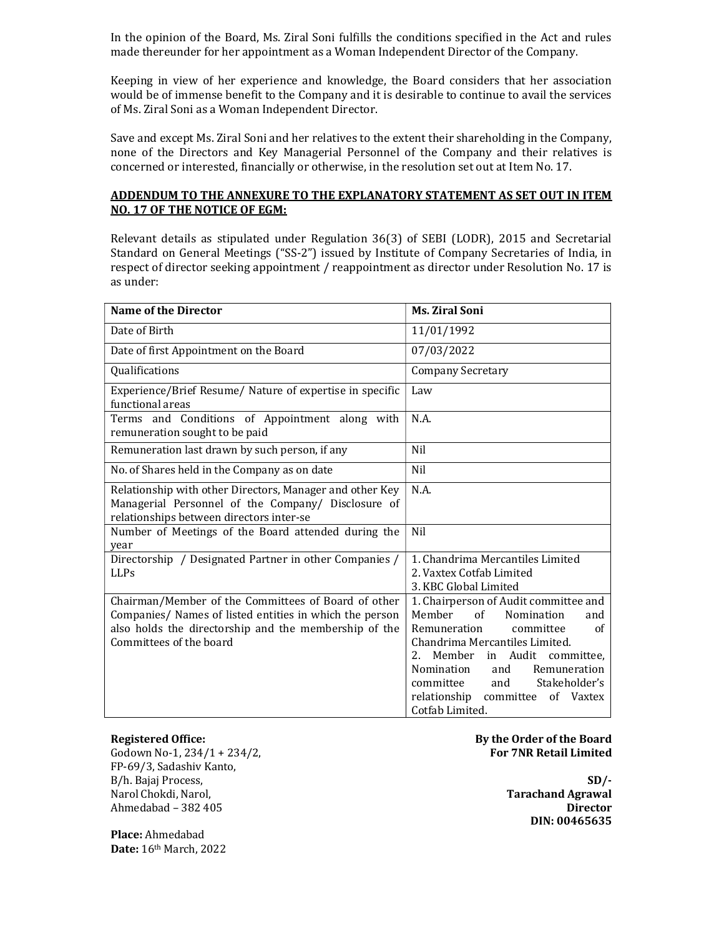In the opinion of the Board, Ms. Ziral Soni fulfills the conditions specified in the Act and rules made thereunder for her appointment as a Woman Independent Director of the Company.

Keeping in view of her experience and knowledge, the Board considers that her association would be of immense benefit to the Company and it is desirable to continue to avail the services of Ms. Ziral Soni as a Woman Independent Director.

Save and except Ms. Ziral Soni and her relatives to the extent their shareholding in the Company, none of the Directors and Key Managerial Personnel of the Company and their relatives is concerned or interested, financially or otherwise, in the resolution set out at Item No. 17.

## ADDENDUM TO THE ANNEXURE TO THE EXPLANATORY STATEMENT AS SET OUT IN ITEM NO. 17 OF THE NOTICE OF EGM:

Relevant details as stipulated under Regulation 36(3) of SEBI (LODR), 2015 and Secretarial Standard on General Meetings ("SS-2") issued by Institute of Company Secretaries of India, in respect of director seeking appointment / reappointment as director under Resolution No. 17 is as under:

| <b>Name of the Director</b>                                                                                                                                                                        | <b>Ms. Ziral Soni</b>                                                                                                                                                                                                                                                                                                   |
|----------------------------------------------------------------------------------------------------------------------------------------------------------------------------------------------------|-------------------------------------------------------------------------------------------------------------------------------------------------------------------------------------------------------------------------------------------------------------------------------------------------------------------------|
| Date of Birth                                                                                                                                                                                      | 11/01/1992                                                                                                                                                                                                                                                                                                              |
| Date of first Appointment on the Board                                                                                                                                                             | 07/03/2022                                                                                                                                                                                                                                                                                                              |
| Qualifications                                                                                                                                                                                     | <b>Company Secretary</b>                                                                                                                                                                                                                                                                                                |
| Experience/Brief Resume/ Nature of expertise in specific<br>functional areas                                                                                                                       | Law                                                                                                                                                                                                                                                                                                                     |
| Terms and Conditions of Appointment along with<br>remuneration sought to be paid                                                                                                                   | N.A.                                                                                                                                                                                                                                                                                                                    |
| Remuneration last drawn by such person, if any                                                                                                                                                     | Nil                                                                                                                                                                                                                                                                                                                     |
| No. of Shares held in the Company as on date                                                                                                                                                       | Nil                                                                                                                                                                                                                                                                                                                     |
| Relationship with other Directors, Manager and other Key<br>Managerial Personnel of the Company/ Disclosure of<br>relationships between directors inter-se                                         | N.A.                                                                                                                                                                                                                                                                                                                    |
| Number of Meetings of the Board attended during the<br>year                                                                                                                                        | Nil                                                                                                                                                                                                                                                                                                                     |
| Directorship / Designated Partner in other Companies /<br><b>LLPs</b>                                                                                                                              | 1. Chandrima Mercantiles Limited<br>2. Vaxtex Cotfab Limited<br>3. KBC Global Limited                                                                                                                                                                                                                                   |
| Chairman/Member of the Committees of Board of other<br>Companies/ Names of listed entities in which the person<br>also holds the directorship and the membership of the<br>Committees of the board | 1. Chairperson of Audit committee and<br>Member<br>of<br>Nomination<br>and<br>Remuneration<br>committee<br>of<br>Chandrima Mercantiles Limited.<br>Member in Audit<br>2.<br>committee.<br>Nomination<br>Remuneration<br>and<br>Stakeholder's<br>committee<br>and<br>relationship committee of Vaxtex<br>Cotfab Limited. |

#### Registered Office:

Godown No-1, 234/1 + 234/2, FP-69/3, Sadashiv Kanto, B/h. Bajaj Process, Narol Chokdi, Narol, Ahmedabad – 382 405

### By the Order of the Board For 7NR Retail Limited

 $SD/-$  Tarachand Agrawal Director DIN: 00465635

Place: Ahmedabad Date: 16th March, 2022